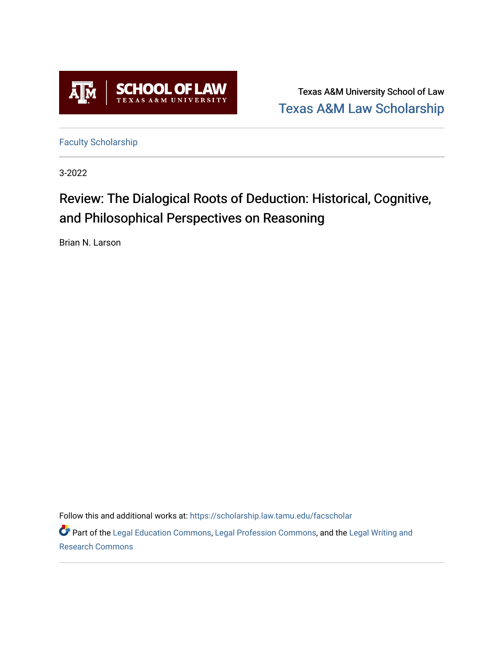

Texas A&M University School of Law [Texas A&M Law Scholarship](https://scholarship.law.tamu.edu/) 

[Faculty Scholarship](https://scholarship.law.tamu.edu/facscholar)

3-2022

# Review: The Dialogical Roots of Deduction: Historical, Cognitive, and Philosophical Perspectives on Reasoning

Brian N. Larson

Follow this and additional works at: [https://scholarship.law.tamu.edu/facscholar](https://scholarship.law.tamu.edu/facscholar?utm_source=scholarship.law.tamu.edu%2Ffacscholar%2F1562&utm_medium=PDF&utm_campaign=PDFCoverPages) 

Part of the [Legal Education Commons,](https://network.bepress.com/hgg/discipline/857?utm_source=scholarship.law.tamu.edu%2Ffacscholar%2F1562&utm_medium=PDF&utm_campaign=PDFCoverPages) [Legal Profession Commons](https://network.bepress.com/hgg/discipline/1075?utm_source=scholarship.law.tamu.edu%2Ffacscholar%2F1562&utm_medium=PDF&utm_campaign=PDFCoverPages), and the [Legal Writing and](https://network.bepress.com/hgg/discipline/614?utm_source=scholarship.law.tamu.edu%2Ffacscholar%2F1562&utm_medium=PDF&utm_campaign=PDFCoverPages)  [Research Commons](https://network.bepress.com/hgg/discipline/614?utm_source=scholarship.law.tamu.edu%2Ffacscholar%2F1562&utm_medium=PDF&utm_campaign=PDFCoverPages)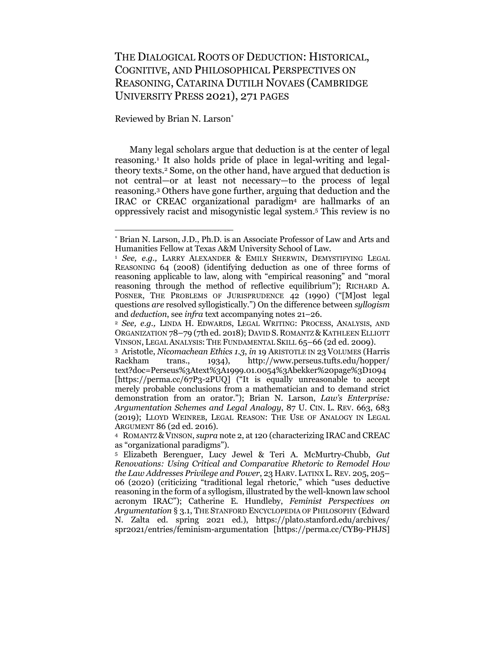# THE DIALOGICAL ROOTS OF DEDUCTION: HISTORICAL, COGNITIVE, AND PHILOSOPHICAL PERSPECTIVES ON REASONING, CATARINA DUTILH NOVAES (CAMBRIDGE UNIVERSITY PRESS 2021), 271 PAGES

Reviewed by Brian N. Larson\*

Many legal scholars argue that deduction is at the center of legal reasoning.1 It also holds pride of place in legal-writing and legaltheory texts.2 Some, on the other hand, have argued that deduction is not central—or at least not necessary—to the process of legal reasoning.3 Others have gone further, arguing that deduction and the IRAC or CREAC organizational paradigm4 are hallmarks of an oppressively racist and misogynistic legal system.5 This review is no

<sup>\*</sup> Brian N. Larson, J.D., Ph.D. is an Associate Professor of Law and Arts and Humanities Fellow at Texas A&M University School of Law.

<sup>1</sup> *See, e.g.,* LARRY ALEXANDER & EMILY SHERWIN, DEMYSTIFYING LEGAL REASONING 64 (2008) (identifying deduction as one of three forms of reasoning applicable to law, along with "empirical reasoning" and "moral reasoning through the method of reflective equilibrium"); RICHARD A. POSNER, THE PROBLEMS OF JURISPRUDENCE 42 (1990) ("[M]ost legal questions *are* resolved syllogistically.") On the difference between *syllogism*  and *deduction*, see *infra* text accompanying notes 21–26.

<sup>2</sup> *See, e.g.,* LINDA H. EDWARDS, LEGAL WRITING: PROCESS, ANALYSIS, AND ORGANIZATION 78–79 (7th ed. 2018); DAVID S. ROMANTZ & KATHLEEN ELLIOTT VINSON, LEGAL ANALYSIS: THE FUNDAMENTAL SKILL 65–66 (2d ed. 2009).

<sup>3</sup> Aristotle, *Nicomachean Ethics 1.3*, *in* 19 ARISTOTLE IN 23 VOLUMES (Harris Rackham trans., 1934), http://www.perseus.tufts.edu/hopper/ text?doc=Perseus%3Atext%3A1999.01.0054%3Abekker%20page%3D1094 [https://perma.cc/67P3-2PUQ] ("It is equally unreasonable to accept merely probable conclusions from a mathematician and to demand strict demonstration from an orator."); Brian N. Larson, *Law's Enterprise: Argumentation Schemes and Legal Analogy*, 87 U. CIN. L. REV. 663, 683 (2019); LLOYD WEINREB, LEGAL REASON: THE USE OF ANALOGY IN LEGAL ARGUMENT 86 (2d ed. 2016).

<sup>4</sup> ROMANTZ & VINSON, *supra* note 2, at 120 (characterizing IRAC and CREAC as "organizational paradigms").

<sup>5</sup> Elizabeth Berenguer, Lucy Jewel & Teri A. McMurtry-Chubb, *Gut Renovations: Using Critical and Comparative Rhetoric to Remodel How the Law Addresses Privilege and Power*, 23 HARV. LATINX L. REV. 205, 205– 06 (2020) (criticizing "traditional legal rhetoric," which "uses deductive reasoning in the form of a syllogism, illustrated by the well-known law school acronym IRAC"); Catherine E. Hundleby, *Feminist Perspectives on Argumentation* § 3.1, THE STANFORD ENCYCLOPEDIA OF PHILOSOPHY (Edward N. Zalta ed. spring 2021 ed.), https://plato.stanford.edu/archives/ spr2021/entries/feminism-argumentation [https://perma.cc/CYB9-PHJS]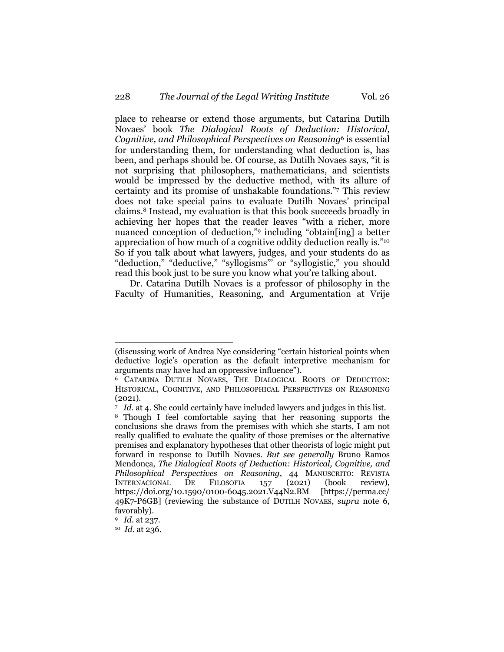place to rehearse or extend those arguments, but Catarina Dutilh Novaes' book *The Dialogical Roots of Deduction: Historical, Cognitive, and Philosophical Perspectives on Reasoning*<sup>6</sup> is essential for understanding them, for understanding what deduction is, has been, and perhaps should be. Of course, as Dutilh Novaes says, "it is not surprising that philosophers, mathematicians, and scientists would be impressed by the deductive method, with its allure of certainty and its promise of unshakable foundations."7 This review does not take special pains to evaluate Dutilh Novaes' principal claims. <sup>8</sup> Instead, my evaluation is that this book succeeds broadly in achieving her hopes that the reader leaves "with a richer, more nuanced conception of deduction,"9 including "obtain[ing] a better appreciation of how much of a cognitive oddity deduction really is."10 So if you talk about what lawyers, judges, and your students do as "deduction," "deductive," "syllogisms"' or "syllogistic," you should read this book just to be sure you know what you're talking about.

Dr. Catarina Dutilh Novaes is a professor of philosophy in the Faculty of Humanities, Reasoning, and Argumentation at Vrije

<sup>(</sup>discussing work of Andrea Nye considering "certain historical points when deductive logic's operation as the default interpretive mechanism for arguments may have had an oppressive influence").

<sup>6</sup> CATARINA DUTILH NOVAES, THE DIALOGICAL ROOTS OF DEDUCTION: HISTORICAL, COGNITIVE, AND PHILOSOPHICAL PERSPECTIVES ON REASONING (2021).

<sup>7</sup> *Id.* at 4. She could certainly have included lawyers and judges in this list.

<sup>8</sup> Though I feel comfortable saying that her reasoning supports the conclusions she draws from the premises with which she starts, I am not really qualified to evaluate the quality of those premises or the alternative premises and explanatory hypotheses that other theorists of logic might put forward in response to Dutilh Novaes. *But see generally* Bruno Ramos Mendonça, *The Dialogical Roots of Deduction: Historical, Cognitive, and Philosophical Perspectives on Reasoning*, 44 MANUSCRITO: REVISTA INTERNACIONAL DE FILOSOFIA 157 (2021) (book review), https://doi.org/10.1590/0100-6045.2021.V44N2.BM [https://perma.cc/ 49K7-P6GB] (reviewing the substance of DUTILH NOVAES, *supra* note 6, favorably).

<sup>9</sup> *Id.* at 237.

<sup>10</sup> *Id.* at 236.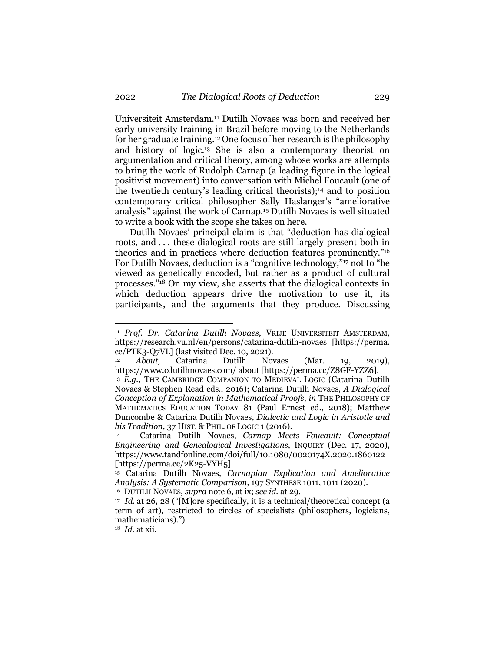Universiteit Amsterdam.11 Dutilh Novaes was born and received her early university training in Brazil before moving to the Netherlands for her graduate training.12 One focus of her research is the philosophy and history of logic.13 She is also a contemporary theorist on argumentation and critical theory, among whose works are attempts to bring the work of Rudolph Carnap (a leading figure in the logical positivist movement) into conversation with Michel Foucault (one of the twentieth century's leading critical theorists);14 and to position contemporary critical philosopher Sally Haslanger's "ameliorative analysis" against the work of Carnap.15 Dutilh Novaes is well situated to write a book with the scope she takes on here.

Dutilh Novaes' principal claim is that "deduction has dialogical roots, and . . . these dialogical roots are still largely present both in theories and in practices where deduction features prominently."16 For Dutilh Novaes, deduction is a "cognitive technology,"17 not to "be viewed as genetically encoded, but rather as a product of cultural processes."18 On my view, she asserts that the dialogical contexts in which deduction appears drive the motivation to use it, its participants, and the arguments that they produce. Discussing

<sup>16</sup> DUTILH NOVAES, *supra* note 6, at ix; *see id.* at 29.

<sup>11</sup> *Prof. Dr. Catarina Dutilh Novaes*, VRIJE UNIVERSITEIT AMSTERDAM, https://research.vu.nl/en/persons/catarina-dutilh-novaes [https://perma. cc/PTK3-Q7VL] (last visited Dec. 10, 2021).

<sup>12</sup> *About,* Catarina Dutilh Novaes (Mar. 19, 2019), https://www.cdutilhnovaes.com/ about [https://perma.cc/Z8GF-YZZ6].

<sup>&</sup>lt;sup>13</sup> E.G., THE CAMBRIDGE COMPANION TO MEDIEVAL LOGIC (Catarina Dutilh Novaes & Stephen Read eds., 2016); Catarina Dutilh Novaes, *A Dialogical Conception of Explanation in Mathematical Proofs*, *in* THE PHILOSOPHY OF MATHEMATICS EDUCATION TODAY 81 (Paul Ernest ed., 2018); Matthew Duncombe & Catarina Dutilh Novaes, *Dialectic and Logic in Aristotle and his Tradition*, 37 HIST. & PHIL. OF LOGIC 1 (2016).

<sup>14</sup> Catarina Dutilh Novaes, *Carnap Meets Foucault: Conceptual Engineering and Genealogical Investigations*, INQUIRY (Dec. 17, 2020), https://www.tandfonline.com/doi/full/10.1080/0020174X.2020.1860122 [https://perma.cc/2K25-VYH5].

<sup>15</sup> Catarina Dutilh Novaes, *Carnapian Explication and Ameliorative Analysis: A Systematic Comparison*, 197 SYNTHESE 1011, 1011 (2020).

<sup>17</sup> *Id.* at 26, 28 ("[M]ore specifically, it is a technical/theoretical concept (a term of art), restricted to circles of specialists (philosophers, logicians, mathematicians).").

<sup>18</sup> *Id.* at xii.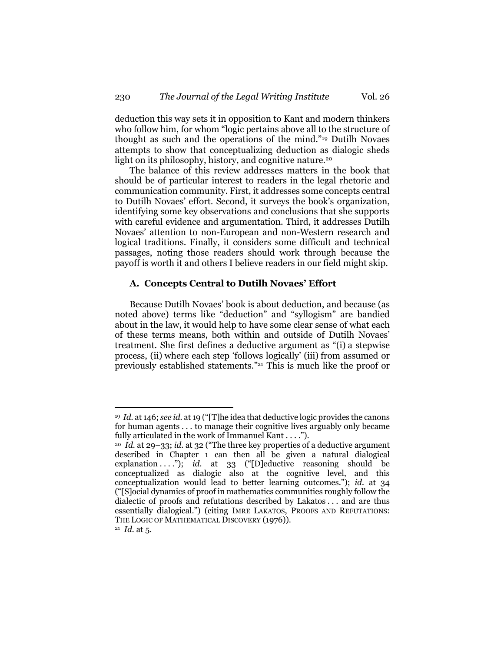deduction this way sets it in opposition to Kant and modern thinkers who follow him, for whom "logic pertains above all to the structure of thought as such and the operations of the mind."19 Dutilh Novaes attempts to show that conceptualizing deduction as dialogic sheds light on its philosophy, history, and cognitive nature.<sup>20</sup>

The balance of this review addresses matters in the book that should be of particular interest to readers in the legal rhetoric and communication community. First, it addresses some concepts central to Dutilh Novaes' effort. Second, it surveys the book's organization, identifying some key observations and conclusions that she supports with careful evidence and argumentation. Third, it addresses Dutilh Novaes' attention to non-European and non-Western research and logical traditions. Finally, it considers some difficult and technical passages, noting those readers should work through because the payoff is worth it and others I believe readers in our field might skip.

## **A. Concepts Central to Dutilh Novaes' Effort**

Because Dutilh Novaes' book is about deduction, and because (as noted above) terms like "deduction" and "syllogism" are bandied about in the law, it would help to have some clear sense of what each of these terms means, both within and outside of Dutilh Novaes' treatment. She first defines a deductive argument as "(i) a stepwise process, (ii) where each step 'follows logically' (iii) from assumed or previously established statements."21 This is much like the proof or

<sup>19</sup> *Id.* at 146; *see id.* at 19 ("[T]he idea that deductive logic provides the canons for human agents . . . to manage their cognitive lives arguably only became fully articulated in the work of Immanuel Kant . . . .").

<sup>20</sup> *Id.* at 29–33; *id.* at 32 ("The three key properties of a deductive argument described in Chapter 1 can then all be given a natural dialogical explanation . . . ."); *id.* at 33 ("[D]eductive reasoning should be conceptualized as dialogic also at the cognitive level, and this conceptualization would lead to better learning outcomes."); *id.* at 34 ("[S]ocial dynamics of proof in mathematics communities roughly follow the dialectic of proofs and refutations described by Lakatos . . . and are thus essentially dialogical.") (citing IMRE LAKATOS, PROOFS AND REFUTATIONS: THE LOGIC OF MATHEMATICAL DISCOVERY (1976)).<br><sup>21</sup> *Id.* at 5.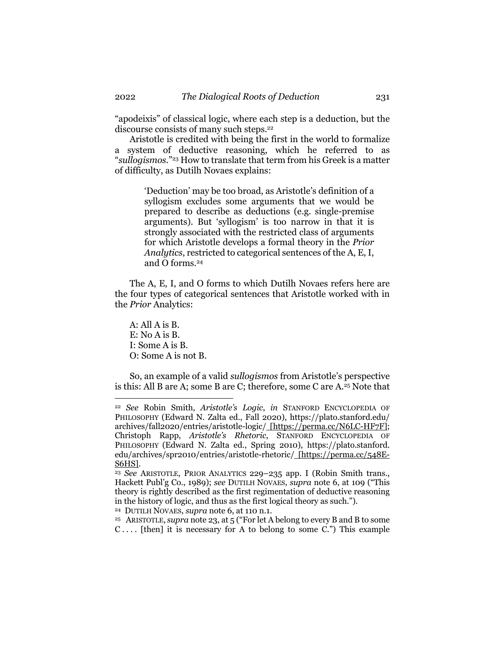"apodeixis" of classical logic, where each step is a deduction, but the discourse consists of many such steps.22

Aristotle is credited with being the first in the world to formalize a system of deductive reasoning, which he referred to as "*sullogismos.*"23 How to translate that term from his Greek is a matter of difficulty, as Dutilh Novaes explains:

> 'Deduction' may be too broad, as Aristotle's definition of a syllogism excludes some arguments that we would be prepared to describe as deductions (e.g. single-premise arguments). But 'syllogism' is too narrow in that it is strongly associated with the restricted class of arguments for which Aristotle develops a formal theory in the *Prior Analytics*, restricted to categorical sentences of the A, E, I, and O forms.24

The A, E, I, and O forms to which Dutilh Novaes refers here are the four types of categorical sentences that Aristotle worked with in the *Prior* Analytics:

A: All A is B. E: No A is B. I: Some A is B. O: Some A is not B.

So, an example of a valid *sullogismos* from Aristotle's perspective is this: All B are A; some B are C; therefore, some C are A. <sup>25</sup> Note that

<sup>22</sup> *See* Robin Smith, *Aristotle's Logic*, *in* STANFORD ENCYCLOPEDIA OF PHILOSOPHY (Edward N. Zalta ed., Fall 2020), https://plato.stanford.edu/ archives/fall2020/entries/aristotle-logic/ [https://perma.cc/N6LC-HF7F]; Christoph Rapp, *Aristotle's Rhetoric*, STANFORD ENCYCLOPEDIA OF PHILOSOPHY (Edward N. Zalta ed., Spring 2010), https://plato.stanford. edu/archives/spr2010/entries/aristotle-rhetoric/ [https://perma.cc/548E-S6HS]. 23 *See* ARISTOTLE, PRIOR ANALYTICS 229–235 app. I (Robin Smith trans.,

Hackett Publ'g Co., 1989); *see* DUTILH NOVAES, *supra* note 6, at 109 ("This theory is rightly described as the first regimentation of deductive reasoning in the history of logic, and thus as the first logical theory as such.").

<sup>24</sup> DUTILH NOVAES, *supra* note 6, at 110 n.1.

<sup>25</sup> ARISTOTLE, *supra* note 23, at 5 ("For let A belong to every B and B to some  $C$ .... [then] it is necessary for A to belong to some  $C$ .") This example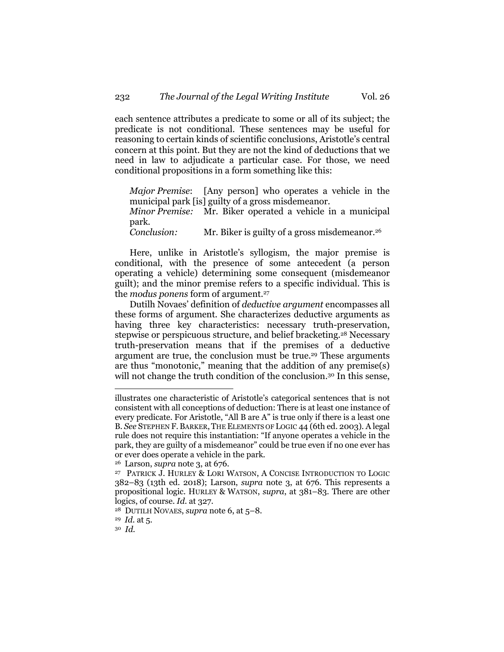each sentence attributes a predicate to some or all of its subject; the predicate is not conditional. These sentences may be useful for reasoning to certain kinds of scientific conclusions, Aristotle's central concern at this point. But they are not the kind of deductions that we need in law to adjudicate a particular case. For those, we need conditional propositions in a form something like this:

*Major Premise*: [Any person] who operates a vehicle in the municipal park [is] guilty of a gross misdemeanor.

*Minor Premise:* Mr. Biker operated a vehicle in a municipal park.

*Conclusion:* Mr. Biker is guilty of a gross misdemeanor.<sup>26</sup>

Here, unlike in Aristotle's syllogism, the major premise is conditional, with the presence of some antecedent (a person operating a vehicle) determining some consequent (misdemeanor guilt); and the minor premise refers to a specific individual. This is the *modus ponens* form of argument. 27

Dutilh Novaes' definition of *deductive argument* encompasses all these forms of argument. She characterizes deductive arguments as having three key characteristics: necessary truth-preservation, stepwise or perspicuous structure, and belief bracketing.<sup>28</sup> Necessary truth-preservation means that if the premises of a deductive argument are true, the conclusion must be true.29 These arguments are thus "monotonic," meaning that the addition of any premise(s) will not change the truth condition of the conclusion.<sup>30</sup> In this sense,

illustrates one characteristic of Aristotle's categorical sentences that is not consistent with all conceptions of deduction: There is at least one instance of every predicate. For Aristotle, "All B are A" is true only if there is a least one B. See STEPHEN F. BARKER, THE ELEMENTS OF LOGIC 44 (6th ed. 2003). A legal rule does not require this instantiation: "If anyone operates a vehicle in the park, they are guilty of a misdemeanor" could be true even if no one ever has or ever does operate a vehicle in the park.

<sup>26</sup> Larson, *supra* note 3, at 676.

<sup>27</sup> PATRICK J. HURLEY & LORI WATSON, A CONCISE INTRODUCTION TO LOGIC 382–83 (13th ed. 2018); Larson, *supra* note 3, at 676. This represents a propositional logic. HURLEY & WATSON, *supra*, at 381–83. There are other logics, of course. *Id.* at 327.

<sup>28</sup> DUTILH NOVAES, *supra* note 6, at 5–8.

<sup>29</sup> *Id.* at 5.

<sup>30</sup> *Id.*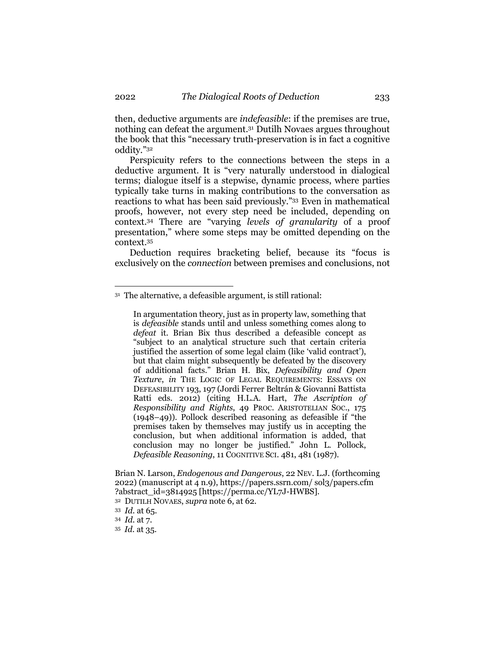then, deductive arguments are *indefeasible*: if the premises are true, nothing can defeat the argument.31 Dutilh Novaes argues throughout the book that this "necessary truth-preservation is in fact a cognitive oddity."32

Perspicuity refers to the connections between the steps in a deductive argument. It is "very naturally understood in dialogical terms; dialogue itself is a stepwise, dynamic process, where parties typically take turns in making contributions to the conversation as reactions to what has been said previously."33 Even in mathematical proofs, however, not every step need be included, depending on context. <sup>34</sup> There are "varying *levels of granularity* of a proof presentation," where some steps may be omitted depending on the context.35

Deduction requires bracketing belief, because its "focus is exclusively on the *connection* between premises and conclusions, not

In argumentation theory, just as in property law, something that is *defeasible* stands until and unless something comes along to *defeat* it. Brian Bix thus described a defeasible concept as "subject to an analytical structure such that certain criteria justified the assertion of some legal claim (like 'valid contract'), but that claim might subsequently be defeated by the discovery of additional facts." Brian H. Bix, *Defeasibility and Open Texture*, *in* THE LOGIC OF LEGAL REQUIREMENTS: ESSAYS ON DEFEASIBILITY 193, 197 (Jordi Ferrer Beltrán & Giovanni Battista Ratti eds. 2012) (citing H.L.A. Hart, *The Ascription of Responsibility and Rights*, 49 PROC. ARISTOTELIAN SOC., 175 (1948–49)). Pollock described reasoning as defeasible if "the premises taken by themselves may justify us in accepting the conclusion, but when additional information is added, that conclusion may no longer be justified." John L. Pollock, *Defeasible Reasoning*, 11 COGNITIVE SCI. 481, 481 (1987).

Brian N. Larson, *Endogenous and Dangerous*, 22 NEV. L.J. (forthcoming 2022) (manuscript at 4 n.9), https://papers.ssrn.com/ sol3/papers.cfm ?abstract\_id=3814925 [https://perma.cc/YL7J-HWBS].

<sup>32</sup> DUTILH NOVAES, *supra* note 6, at 62.

<sup>35</sup> *Id.* at 35.

<sup>31</sup> The alternative, a defeasible argument, is still rational:

<sup>33</sup> *Id.* at 65.

<sup>34</sup> *Id.* at 7.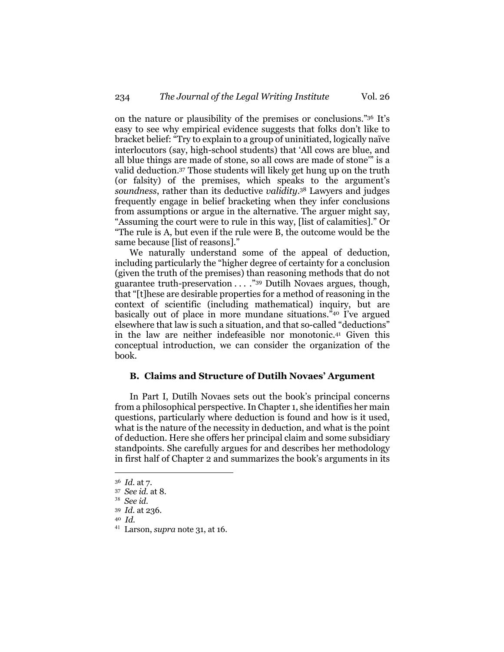on the nature or plausibility of the premises or conclusions."36 It's easy to see why empirical evidence suggests that folks don't like to bracket belief: "Try to explain to a group of uninitiated, logically naïve interlocutors (say, high-school students) that 'All cows are blue, and all blue things are made of stone, so all cows are made of stone'" is a valid deduction.37 Those students will likely get hung up on the truth (or falsity) of the premises, which speaks to the argument's *soundness*, rather than its deductive *validity*. <sup>38</sup> Lawyers and judges frequently engage in belief bracketing when they infer conclusions from assumptions or argue in the alternative. The arguer might say, "Assuming the court were to rule in this way, [list of calamities]." Or "The rule is A, but even if the rule were B, the outcome would be the same because [list of reasons]."

We naturally understand some of the appeal of deduction, including particularly the "higher degree of certainty for a conclusion (given the truth of the premises) than reasoning methods that do not guarantee truth-preservation  $\ldots$  ."<sup>39</sup> Dutilh Novaes argues, though, that "[t]hese are desirable properties for a method of reasoning in the context of scientific (including mathematical) inquiry, but are basically out of place in more mundane situations."40 I've argued elsewhere that law is such a situation, and that so-called "deductions" in the law are neither indefeasible nor monotonic.41 Given this conceptual introduction, we can consider the organization of the book.

## **B. Claims and Structure of Dutilh Novaes' Argument**

In Part I, Dutilh Novaes sets out the book's principal concerns from a philosophical perspective. In Chapter 1, she identifies her main questions, particularly where deduction is found and how is it used, what is the nature of the necessity in deduction, and what is the point of deduction. Here she offers her principal claim and some subsidiary standpoints. She carefully argues for and describes her methodology in first half of Chapter 2 and summarizes the book's arguments in its

<sup>36</sup> *Id.* at 7.

<sup>37</sup> *See id.* at 8.

<sup>38</sup> *See id.*

<sup>39</sup> *Id.* at 236.

<sup>40</sup> *Id.*

<sup>41</sup> Larson, *supra* note 31, at 16.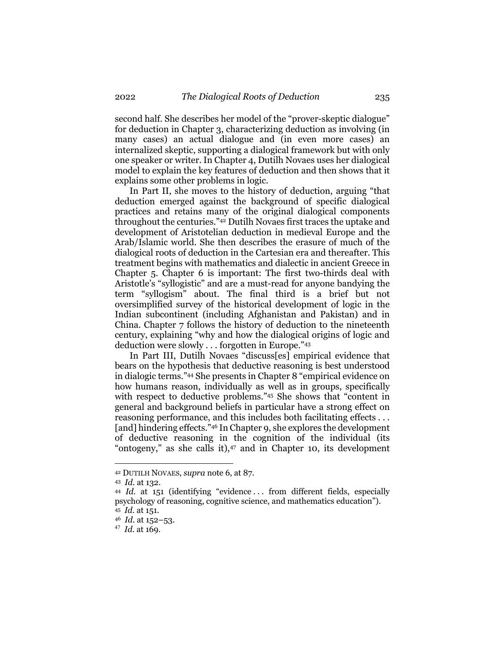second half. She describes her model of the "prover-skeptic dialogue" for deduction in Chapter 3, characterizing deduction as involving (in many cases) an actual dialogue and (in even more cases) an internalized skeptic, supporting a dialogical framework but with only one speaker or writer. In Chapter 4, Dutilh Novaes uses her dialogical model to explain the key features of deduction and then shows that it explains some other problems in logic.

In Part II, she moves to the history of deduction, arguing "that deduction emerged against the background of specific dialogical practices and retains many of the original dialogical components throughout the centuries."42 Dutilh Novaes first traces the uptake and development of Aristotelian deduction in medieval Europe and the Arab/Islamic world. She then describes the erasure of much of the dialogical roots of deduction in the Cartesian era and thereafter. This treatment begins with mathematics and dialectic in ancient Greece in Chapter 5. Chapter 6 is important: The first two-thirds deal with Aristotle's "syllogistic" and are a must-read for anyone bandying the term "syllogism" about. The final third is a brief but not oversimplified survey of the historical development of logic in the Indian subcontinent (including Afghanistan and Pakistan) and in China. Chapter 7 follows the history of deduction to the nineteenth century, explaining "why and how the dialogical origins of logic and deduction were slowly . . . forgotten in Europe."43

In Part III, Dutilh Novaes "discuss[es] empirical evidence that bears on the hypothesis that deductive reasoning is best understood in dialogic terms."44 She presents in Chapter 8 "empirical evidence on how humans reason, individually as well as in groups, specifically with respect to deductive problems."45 She shows that "content in general and background beliefs in particular have a strong effect on reasoning performance, and this includes both facilitating effects . . . [and] hindering effects."46 In Chapter 9, she explores the development of deductive reasoning in the cognition of the individual (its "ontogeny," as she calls it), <sup>47</sup> and in Chapter 10, its development

<sup>42</sup> DUTILH NOVAES, *supra* note 6, at 87.

<sup>43</sup> *Id.* at 132.

<sup>44</sup> *Id.* at 151 (identifying "evidence . . . from different fields, especially psychology of reasoning, cognitive science, and mathematics education"). <sup>45</sup> *Id.* at 151.

<sup>46</sup> *Id.* at 152–53.

<sup>47</sup> *Id.* at 169.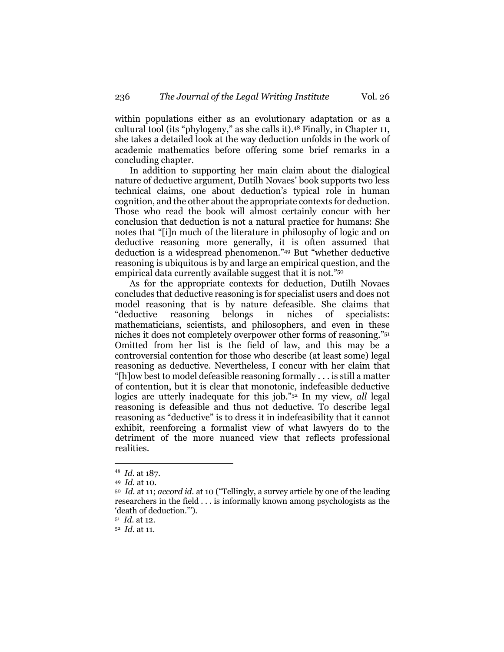within populations either as an evolutionary adaptation or as a cultural tool (its "phylogeny," as she calls it). <sup>48</sup> Finally, in Chapter 11, she takes a detailed look at the way deduction unfolds in the work of academic mathematics before offering some brief remarks in a concluding chapter.

In addition to supporting her main claim about the dialogical nature of deductive argument, Dutilh Novaes' book supports two less technical claims, one about deduction's typical role in human cognition, and the other about the appropriate contexts for deduction. Those who read the book will almost certainly concur with her conclusion that deduction is not a natural practice for humans: She notes that "[i]n much of the literature in philosophy of logic and on deductive reasoning more generally, it is often assumed that deduction is a widespread phenomenon."49 But "whether deductive reasoning is ubiquitous is by and large an empirical question, and the empirical data currently available suggest that it is not."50

As for the appropriate contexts for deduction, Dutilh Novaes concludes that deductive reasoning is for specialist users and does not model reasoning that is by nature defeasible. She claims that "deductive reasoning belongs in niches of specialists: mathematicians, scientists, and philosophers, and even in these niches it does not completely overpower other forms of reasoning."51 Omitted from her list is the field of law, and this may be a controversial contention for those who describe (at least some) legal reasoning as deductive. Nevertheless, I concur with her claim that "[h]ow best to model defeasible reasoning formally . . . is still a matter of contention, but it is clear that monotonic, indefeasible deductive logics are utterly inadequate for this job."52 In my view, *all* legal reasoning is defeasible and thus not deductive. To describe legal reasoning as "deductive" is to dress it in indefeasibility that it cannot exhibit, reenforcing a formalist view of what lawyers do to the detriment of the more nuanced view that reflects professional realities.

<sup>48</sup> *Id.* at 187.

<sup>49</sup> *Id.* at 10.

<sup>50</sup> *Id.* at 11; *accord id.* at 10 ("Tellingly, a survey article by one of the leading researchers in the field . . . is informally known among psychologists as the 'death of deduction.'").

<sup>51</sup> *Id.* at 12.

<sup>52</sup> *Id.* at 11.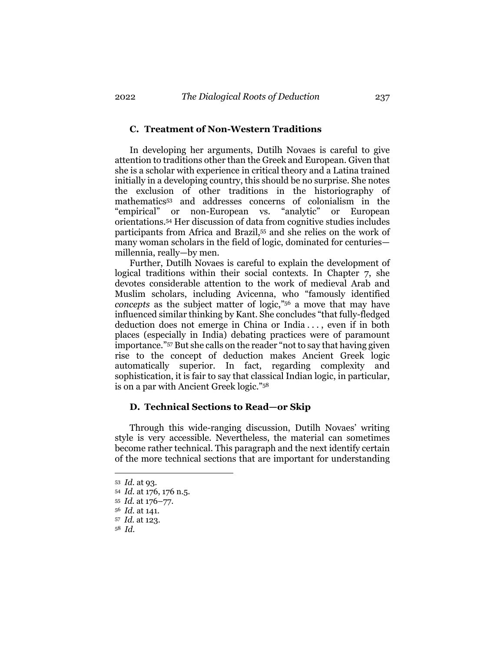#### **C. Treatment of Non-Western Traditions**

In developing her arguments, Dutilh Novaes is careful to give attention to traditions other than the Greek and European. Given that she is a scholar with experience in critical theory and a Latina trained initially in a developing country, this should be no surprise. She notes the exclusion of other traditions in the historiography of mathematics53 and addresses concerns of colonialism in the "empirical" or non-European vs. "analytic" or European orientations.54 Her discussion of data from cognitive studies includes participants from Africa and Brazil,55 and she relies on the work of many woman scholars in the field of logic, dominated for centuries millennia, really—by men.

Further, Dutilh Novaes is careful to explain the development of logical traditions within their social contexts. In Chapter 7, she devotes considerable attention to the work of medieval Arab and Muslim scholars, including Avicenna, who "famously identified *concepts* as the subject matter of logic,"56 a move that may have influenced similar thinking by Kant. She concludes "that fully-fledged deduction does not emerge in China or India . . . , even if in both places (especially in India) debating practices were of paramount importance."57 But she calls on the reader "not to say that having given rise to the concept of deduction makes Ancient Greek logic automatically superior. In fact, regarding complexity and sophistication, it is fair to say that classical Indian logic, in particular, is on a par with Ancient Greek logic."58

#### **D. Technical Sections to Read—or Skip**

Through this wide-ranging discussion, Dutilh Novaes' writing style is very accessible. Nevertheless, the material can sometimes become rather technical. This paragraph and the next identify certain of the more technical sections that are important for understanding

<sup>53</sup> *Id.* at 93.

<sup>54</sup> *Id.* at 176, 176 n.5.

<sup>55</sup> *Id.* at 176–77.

<sup>56</sup> *Id.* at 141.

<sup>57</sup> *Id.* at 123.

<sup>58</sup> *Id.*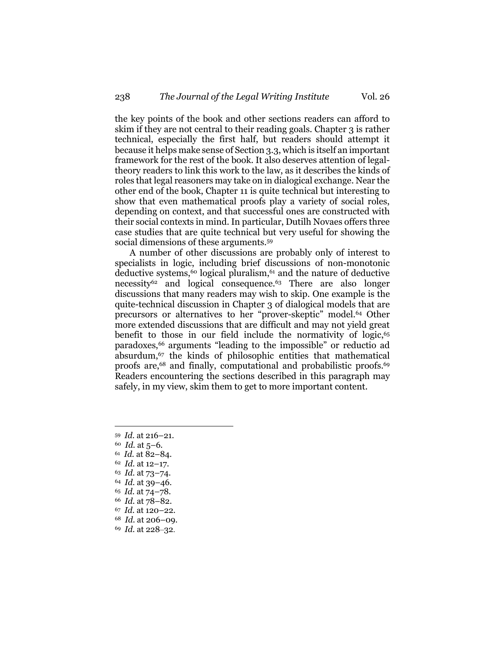the key points of the book and other sections readers can afford to skim if they are not central to their reading goals. Chapter 3 is rather technical, especially the first half, but readers should attempt it because it helps make sense of Section 3.3, which is itself an important framework for the rest of the book. It also deserves attention of legaltheory readers to link this work to the law, as it describes the kinds of roles that legal reasoners may take on in dialogical exchange. Near the other end of the book, Chapter 11 is quite technical but interesting to show that even mathematical proofs play a variety of social roles, depending on context, and that successful ones are constructed with their social contexts in mind. In particular, Dutilh Novaes offers three case studies that are quite technical but very useful for showing the social dimensions of these arguments. 59

A number of other discussions are probably only of interest to specialists in logic, including brief discussions of non-monotonic deductive systems,60 logical pluralism, <sup>61</sup> and the nature of deductive necessity<sup>62</sup> and logical consequence.<sup>63</sup> There are also longer discussions that many readers may wish to skip. One example is the quite-technical discussion in Chapter 3 of dialogical models that are precursors or alternatives to her "prover-skeptic" model.64 Other more extended discussions that are difficult and may not yield great benefit to those in our field include the normativity of logic,<sup>65</sup> paradoxes,66 arguments "leading to the impossible" or reductio ad absurdum,67 the kinds of philosophic entities that mathematical proofs are,<sup>68</sup> and finally, computational and probabilistic proofs.<sup>69</sup> Readers encountering the sections described in this paragraph may safely, in my view, skim them to get to more important content.

- <sup>60</sup> *Id.* at 5–6.
- <sup>61</sup> *Id.* at 82–84.
- <sup>62</sup> *Id.* at 12–17.
- <sup>63</sup> *Id.* at 73–74.
- <sup>64</sup> *Id.* at 39–46.
- <sup>65</sup> *Id.* at 74–78. <sup>66</sup> *Id.* at 78–82.
- 
- <sup>67</sup> *Id.* at 120–22.
- <sup>68</sup> *Id.* at 206–09. <sup>69</sup> *Id.* at 228–32.

<sup>59</sup> *Id.* at 216–21.